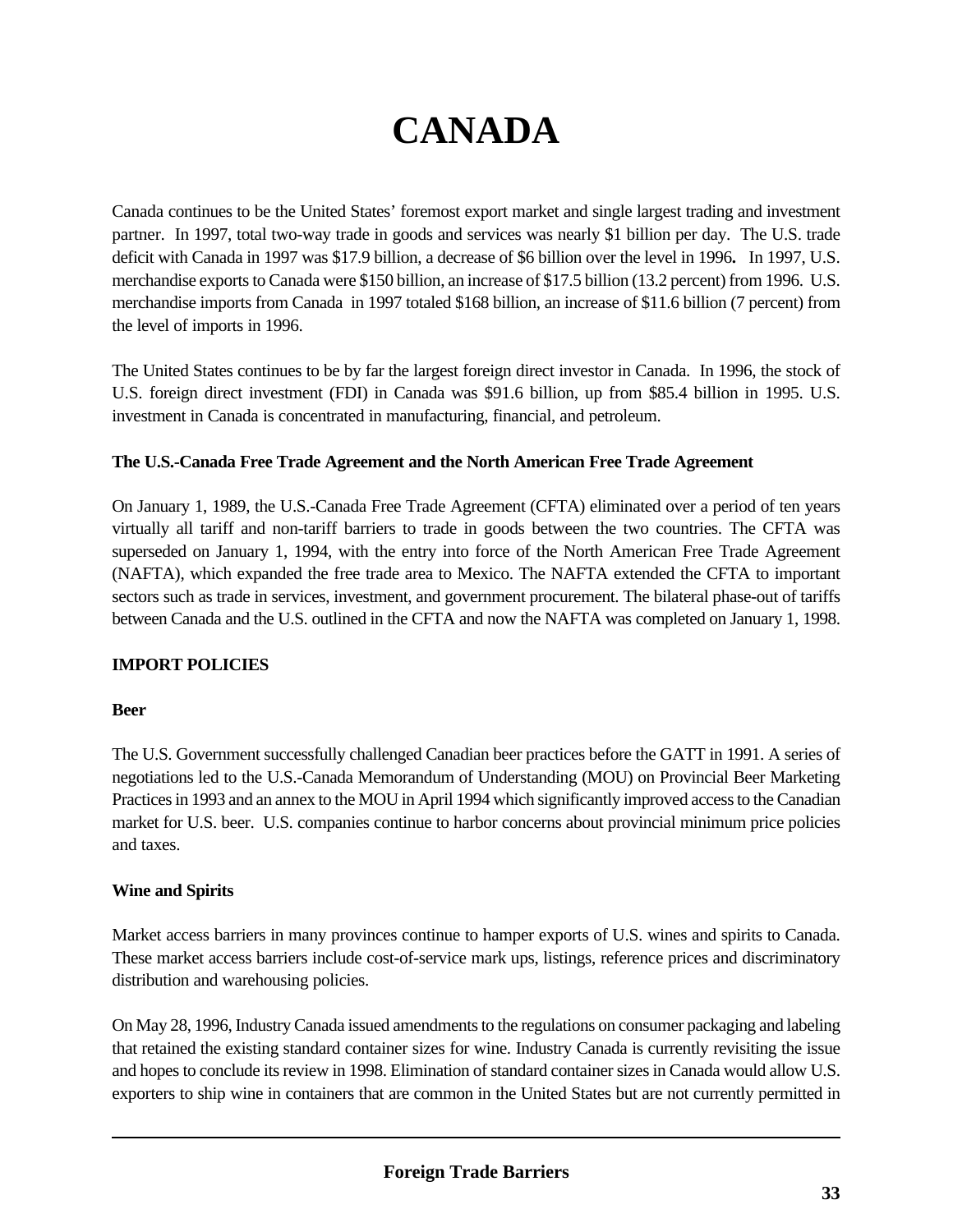# **CANADA**

Canada continues to be the United States' foremost export market and single largest trading and investment partner. In 1997, total two-way trade in goods and services was nearly \$1 billion per day. The U.S. trade deficit with Canada in 1997 was \$17.9 billion, a decrease of \$6 billion over the level in 1996**.** In 1997, U.S. merchandise exports to Canada were \$150 billion, an increase of \$17.5 billion (13.2 percent) from 1996. U.S. merchandise imports from Canada in 1997 totaled \$168 billion, an increase of \$11.6 billion (7 percent) from the level of imports in 1996.

The United States continues to be by far the largest foreign direct investor in Canada. In 1996, the stock of U.S. foreign direct investment (FDI) in Canada was \$91.6 billion, up from \$85.4 billion in 1995. U.S. investment in Canada is concentrated in manufacturing, financial, and petroleum.

# **The U.S.-Canada Free Trade Agreement and the North American Free Trade Agreement**

On January 1, 1989, the U.S.-Canada Free Trade Agreement (CFTA) eliminated over a period of ten years virtually all tariff and non-tariff barriers to trade in goods between the two countries. The CFTA was superseded on January 1, 1994, with the entry into force of the North American Free Trade Agreement (NAFTA), which expanded the free trade area to Mexico. The NAFTA extended the CFTA to important sectors such as trade in services, investment, and government procurement. The bilateral phase-out of tariffs between Canada and the U.S. outlined in the CFTA and now the NAFTA was completed on January 1, 1998.

# **IMPORT POLICIES**

## **Beer**

The U.S. Government successfully challenged Canadian beer practices before the GATT in 1991. A series of negotiations led to the U.S.-Canada Memorandum of Understanding (MOU) on Provincial Beer Marketing Practices in 1993 and an annex to the MOU in April 1994 which significantly improved access to the Canadian market for U.S. beer. U.S. companies continue to harbor concerns about provincial minimum price policies and taxes.

## **Wine and Spirits**

Market access barriers in many provinces continue to hamper exports of U.S. wines and spirits to Canada. These market access barriers include cost-of-service mark ups, listings, reference prices and discriminatory distribution and warehousing policies.

On May 28, 1996, Industry Canada issued amendments to the regulations on consumer packaging and labeling that retained the existing standard container sizes for wine. Industry Canada is currently revisiting the issue and hopes to conclude its review in 1998. Elimination of standard container sizes in Canada would allow U.S. exporters to ship wine in containers that are common in the United States but are not currently permitted in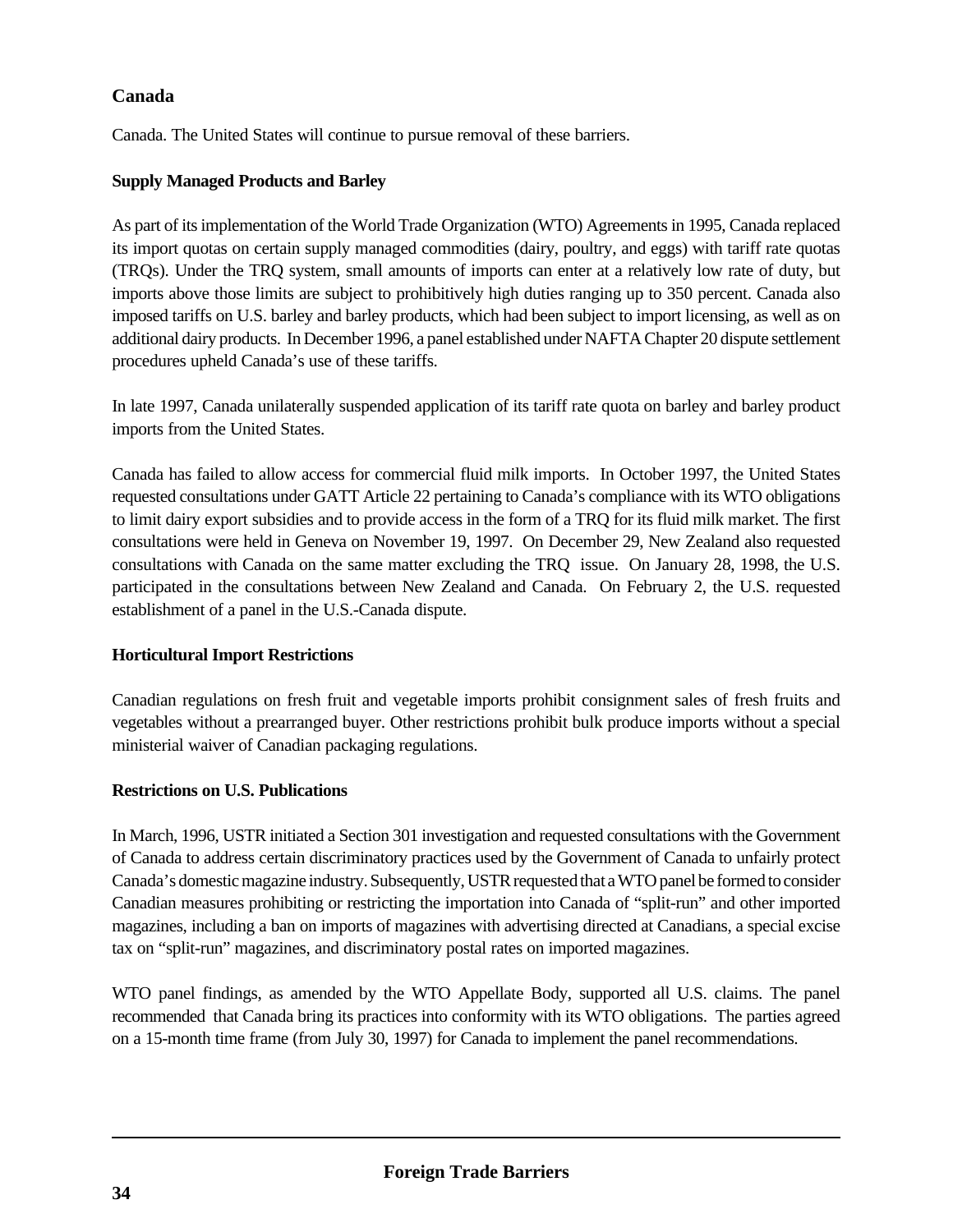Canada. The United States will continue to pursue removal of these barriers.

# **Supply Managed Products and Barley**

As part of its implementation of the World Trade Organization (WTO) Agreements in 1995, Canada replaced its import quotas on certain supply managed commodities (dairy, poultry, and eggs) with tariff rate quotas (TRQs). Under the TRQ system, small amounts of imports can enter at a relatively low rate of duty, but imports above those limits are subject to prohibitively high duties ranging up to 350 percent. Canada also imposed tariffs on U.S. barley and barley products, which had been subject to import licensing, as well as on additional dairy products. In December 1996, a panel established under NAFTA Chapter 20 dispute settlement procedures upheld Canada's use of these tariffs.

In late 1997, Canada unilaterally suspended application of its tariff rate quota on barley and barley product imports from the United States.

Canada has failed to allow access for commercial fluid milk imports. In October 1997, the United States requested consultations under GATT Article 22 pertaining to Canada's compliance with its WTO obligations to limit dairy export subsidies and to provide access in the form of a TRQ for its fluid milk market. The first consultations were held in Geneva on November 19, 1997. On December 29, New Zealand also requested consultations with Canada on the same matter excluding the TRQ issue. On January 28, 1998, the U.S. participated in the consultations between New Zealand and Canada. On February 2, the U.S. requested establishment of a panel in the U.S.-Canada dispute.

## **Horticultural Import Restrictions**

Canadian regulations on fresh fruit and vegetable imports prohibit consignment sales of fresh fruits and vegetables without a prearranged buyer. Other restrictions prohibit bulk produce imports without a special ministerial waiver of Canadian packaging regulations.

# **Restrictions on U.S. Publications**

In March, 1996, USTR initiated a Section 301 investigation and requested consultations with the Government of Canada to address certain discriminatory practices used by the Government of Canada to unfairly protect Canada's domestic magazine industry. Subsequently, USTR requested that a WTO panel be formed to consider Canadian measures prohibiting or restricting the importation into Canada of "split-run" and other imported magazines, including a ban on imports of magazines with advertising directed at Canadians, a special excise tax on "split-run" magazines, and discriminatory postal rates on imported magazines.

WTO panel findings, as amended by the WTO Appellate Body, supported all U.S. claims. The panel recommended that Canada bring its practices into conformity with its WTO obligations. The parties agreed on a 15-month time frame (from July 30, 1997) for Canada to implement the panel recommendations.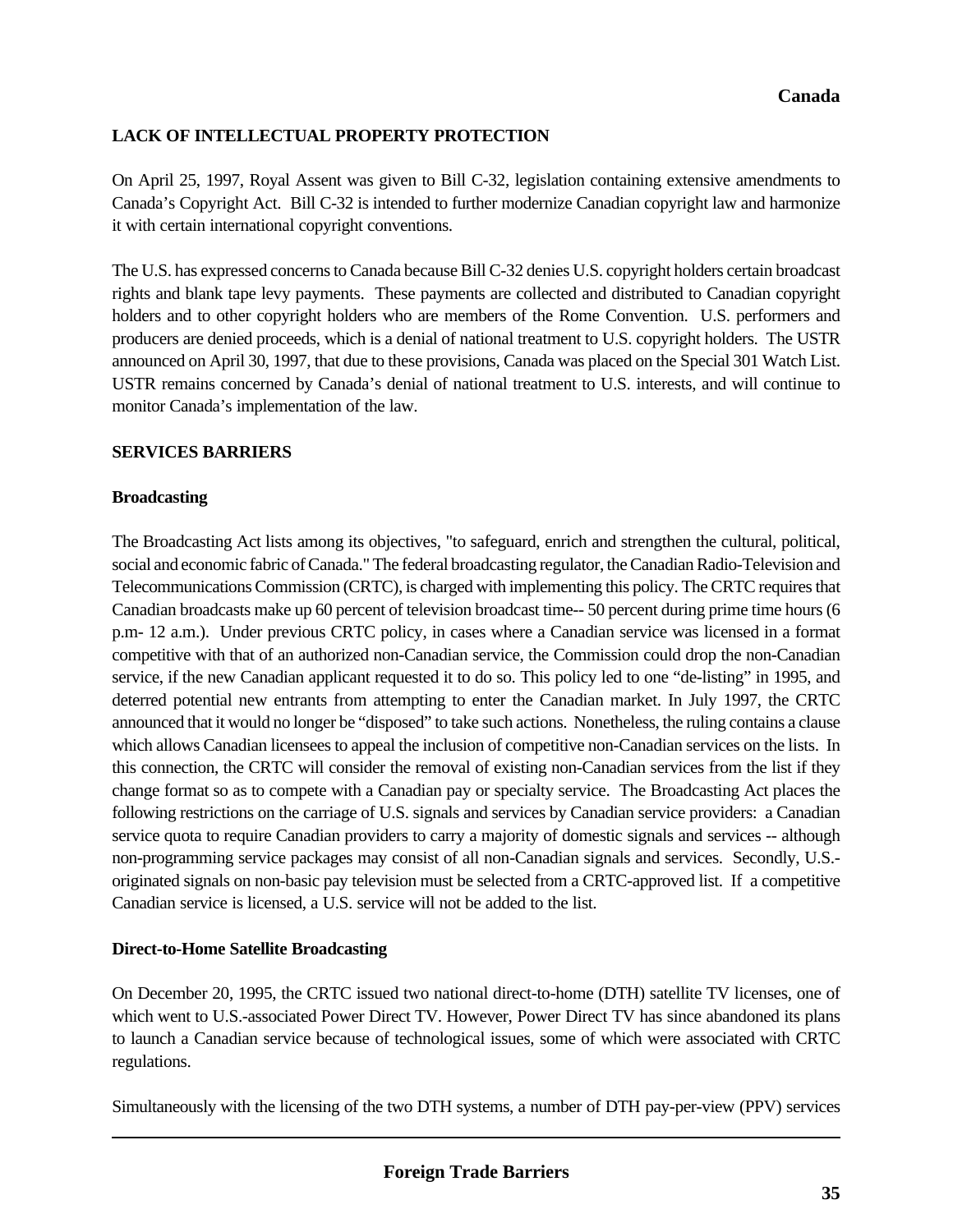# **LACK OF INTELLECTUAL PROPERTY PROTECTION**

On April 25, 1997, Royal Assent was given to Bill C-32, legislation containing extensive amendments to Canada's Copyright Act. Bill C-32 is intended to further modernize Canadian copyright law and harmonize it with certain international copyright conventions.

The U.S. has expressed concerns to Canada because Bill C-32 denies U.S. copyright holders certain broadcast rights and blank tape levy payments. These payments are collected and distributed to Canadian copyright holders and to other copyright holders who are members of the Rome Convention. U.S. performers and producers are denied proceeds, which is a denial of national treatment to U.S. copyright holders. The USTR announced on April 30, 1997, that due to these provisions, Canada was placed on the Special 301 Watch List. USTR remains concerned by Canada's denial of national treatment to U.S. interests, and will continue to monitor Canada's implementation of the law.

## **SERVICES BARRIERS**

# **Broadcasting**

The Broadcasting Act lists among its objectives, "to safeguard, enrich and strengthen the cultural, political, social and economic fabric of Canada." The federal broadcasting regulator, the Canadian Radio-Television and Telecommunications Commission (CRTC), is charged with implementing this policy. The CRTC requires that Canadian broadcasts make up 60 percent of television broadcast time-- 50 percent during prime time hours (6 p.m- 12 a.m.). Under previous CRTC policy, in cases where a Canadian service was licensed in a format competitive with that of an authorized non-Canadian service, the Commission could drop the non-Canadian service, if the new Canadian applicant requested it to do so. This policy led to one "de-listing" in 1995, and deterred potential new entrants from attempting to enter the Canadian market. In July 1997, the CRTC announced that it would no longer be "disposed" to take such actions. Nonetheless, the ruling contains a clause which allows Canadian licensees to appeal the inclusion of competitive non-Canadian services on the lists. In this connection, the CRTC will consider the removal of existing non-Canadian services from the list if they change format so as to compete with a Canadian pay or specialty service. The Broadcasting Act places the following restrictions on the carriage of U.S. signals and services by Canadian service providers: a Canadian service quota to require Canadian providers to carry a majority of domestic signals and services -- although non-programming service packages may consist of all non-Canadian signals and services. Secondly, U.S. originated signals on non-basic pay television must be selected from a CRTC-approved list. If a competitive Canadian service is licensed, a U.S. service will not be added to the list.

## **Direct-to-Home Satellite Broadcasting**

On December 20, 1995, the CRTC issued two national direct-to-home (DTH) satellite TV licenses, one of which went to U.S.-associated Power Direct TV. However, Power Direct TV has since abandoned its plans to launch a Canadian service because of technological issues, some of which were associated with CRTC regulations.

Simultaneously with the licensing of the two DTH systems, a number of DTH pay-per-view (PPV) services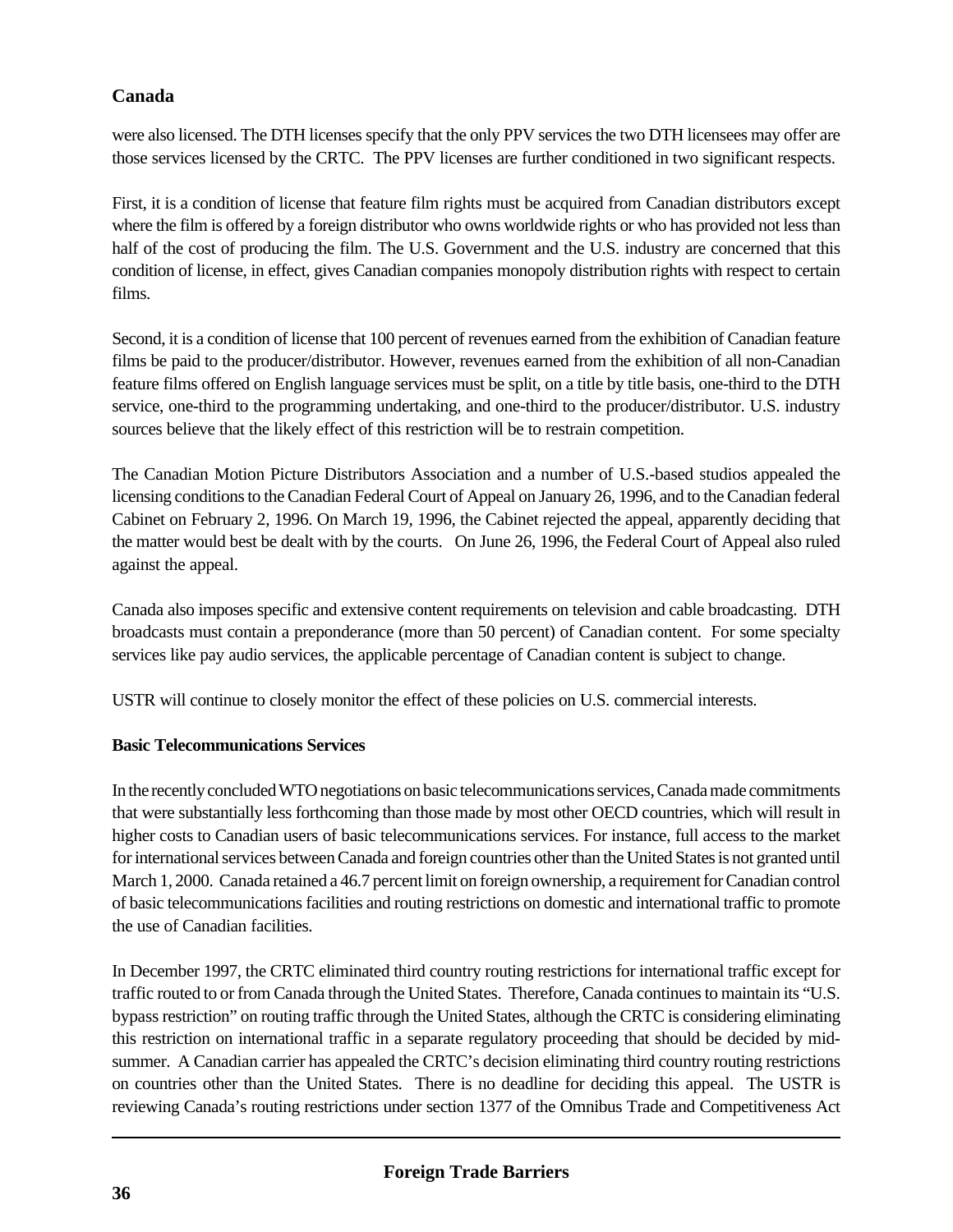were also licensed. The DTH licenses specify that the only PPV services the two DTH licensees may offer are those services licensed by the CRTC. The PPV licenses are further conditioned in two significant respects.

First, it is a condition of license that feature film rights must be acquired from Canadian distributors except where the film is offered by a foreign distributor who owns worldwide rights or who has provided not less than half of the cost of producing the film. The U.S. Government and the U.S. industry are concerned that this condition of license, in effect, gives Canadian companies monopoly distribution rights with respect to certain films.

Second, it is a condition of license that 100 percent of revenues earned from the exhibition of Canadian feature films be paid to the producer/distributor. However, revenues earned from the exhibition of all non-Canadian feature films offered on English language services must be split, on a title by title basis, one-third to the DTH service, one-third to the programming undertaking, and one-third to the producer/distributor. U.S. industry sources believe that the likely effect of this restriction will be to restrain competition.

The Canadian Motion Picture Distributors Association and a number of U.S.-based studios appealed the licensing conditions to the Canadian Federal Court of Appeal on January 26, 1996, and to the Canadian federal Cabinet on February 2, 1996. On March 19, 1996, the Cabinet rejected the appeal, apparently deciding that the matter would best be dealt with by the courts. On June 26, 1996, the Federal Court of Appeal also ruled against the appeal.

Canada also imposes specific and extensive content requirements on television and cable broadcasting. DTH broadcasts must contain a preponderance (more than 50 percent) of Canadian content. For some specialty services like pay audio services, the applicable percentage of Canadian content is subject to change.

USTR will continue to closely monitor the effect of these policies on U.S. commercial interests.

# **Basic Telecommunications Services**

In the recently concluded WTO negotiations on basic telecommunications services, Canada made commitments that were substantially less forthcoming than those made by most other OECD countries, which will result in higher costs to Canadian users of basic telecommunications services. For instance, full access to the market for international services between Canada and foreign countries other than the United States is not granted until March 1, 2000. Canada retained a 46.7 percent limit on foreign ownership, a requirement for Canadian control of basic telecommunications facilities and routing restrictions on domestic and international traffic to promote the use of Canadian facilities.

In December 1997, the CRTC eliminated third country routing restrictions for international traffic except for traffic routed to or from Canada through the United States. Therefore, Canada continues to maintain its "U.S. bypass restriction" on routing traffic through the United States, although the CRTC is considering eliminating this restriction on international traffic in a separate regulatory proceeding that should be decided by midsummer. A Canadian carrier has appealed the CRTC's decision eliminating third country routing restrictions on countries other than the United States. There is no deadline for deciding this appeal. The USTR is reviewing Canada's routing restrictions under section 1377 of the Omnibus Trade and Competitiveness Act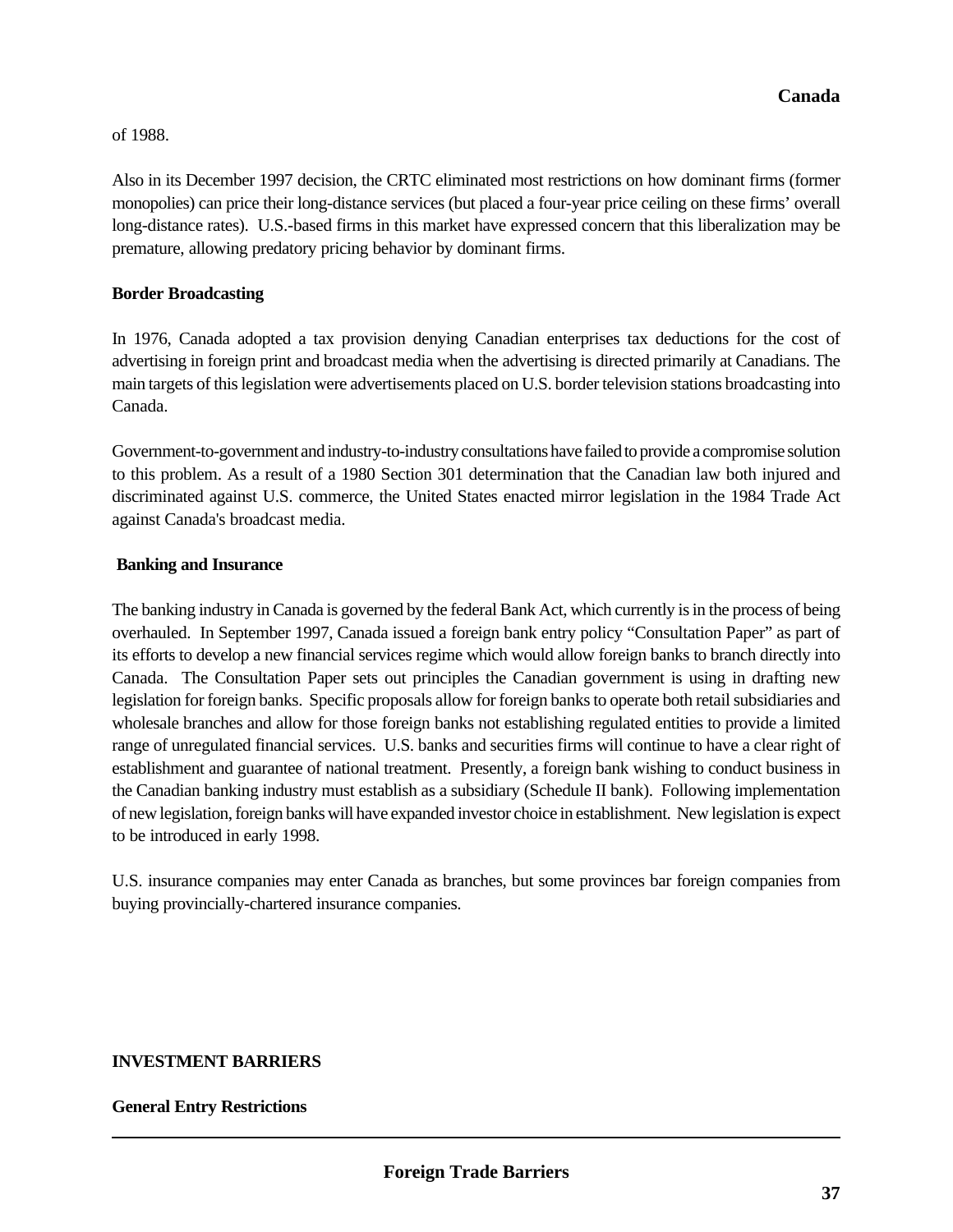#### of 1988.

Also in its December 1997 decision, the CRTC eliminated most restrictions on how dominant firms (former monopolies) can price their long-distance services (but placed a four-year price ceiling on these firms' overall long-distance rates). U.S.-based firms in this market have expressed concern that this liberalization may be premature, allowing predatory pricing behavior by dominant firms.

## **Border Broadcasting**

In 1976, Canada adopted a tax provision denying Canadian enterprises tax deductions for the cost of advertising in foreign print and broadcast media when the advertising is directed primarily at Canadians. The main targets of this legislation were advertisements placed on U.S. border television stations broadcasting into Canada.

Government-to-government and industry-to-industry consultations have failed to provide a compromise solution to this problem. As a result of a 1980 Section 301 determination that the Canadian law both injured and discriminated against U.S. commerce, the United States enacted mirror legislation in the 1984 Trade Act against Canada's broadcast media.

## **Banking and Insurance**

The banking industry in Canada is governed by the federal Bank Act, which currently is in the process of being overhauled. In September 1997, Canada issued a foreign bank entry policy "Consultation Paper" as part of its efforts to develop a new financial services regime which would allow foreign banks to branch directly into Canada. The Consultation Paper sets out principles the Canadian government is using in drafting new legislation for foreign banks. Specific proposals allow for foreign banks to operate both retail subsidiaries and wholesale branches and allow for those foreign banks not establishing regulated entities to provide a limited range of unregulated financial services. U.S. banks and securities firms will continue to have a clear right of establishment and guarantee of national treatment. Presently, a foreign bank wishing to conduct business in the Canadian banking industry must establish as a subsidiary (Schedule II bank). Following implementation of new legislation, foreign banks will have expanded investor choice in establishment. New legislation is expect to be introduced in early 1998.

U.S. insurance companies may enter Canada as branches, but some provinces bar foreign companies from buying provincially-chartered insurance companies.

# **INVESTMENT BARRIERS**

#### **General Entry Restrictions**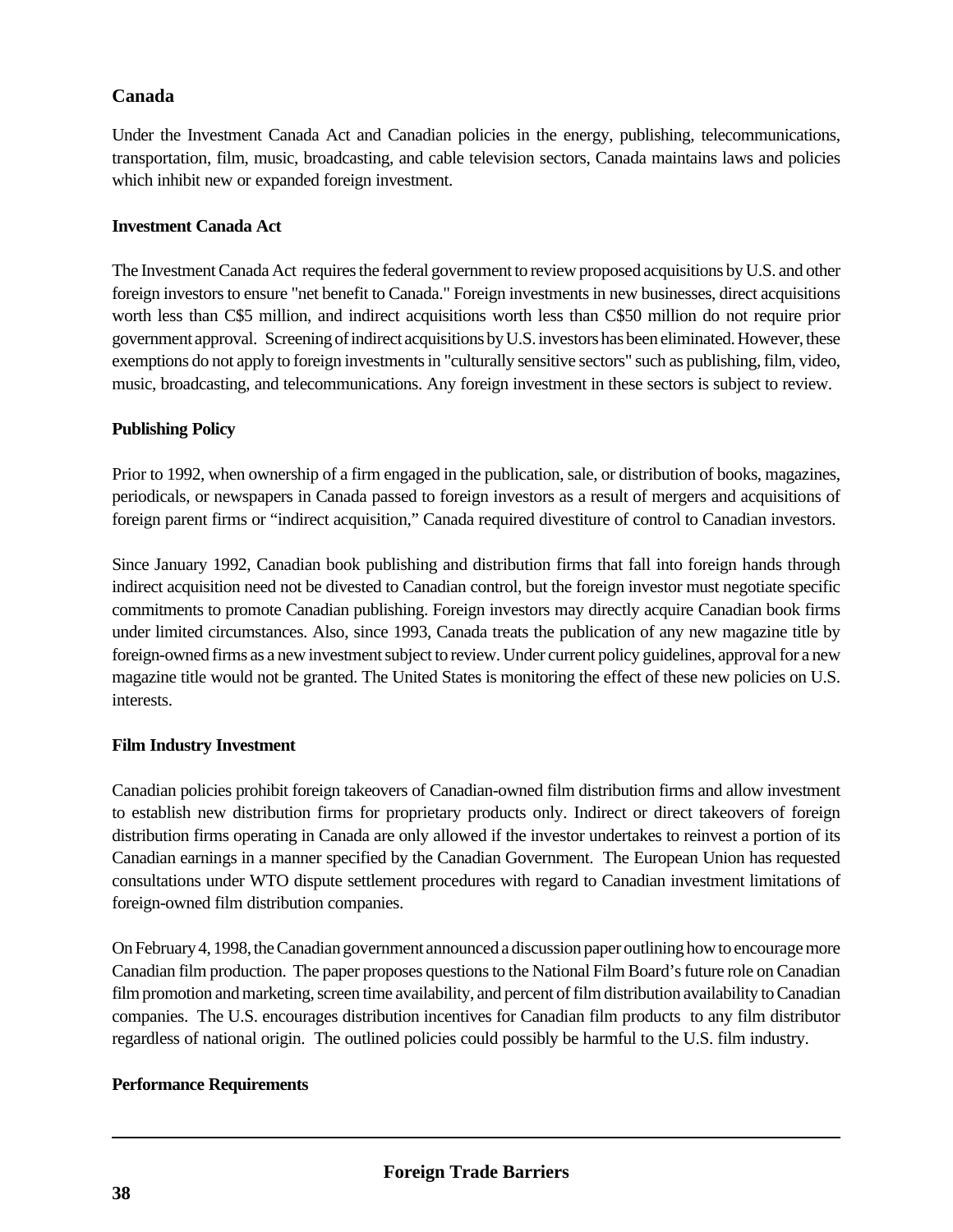Under the Investment Canada Act and Canadian policies in the energy, publishing, telecommunications, transportation, film, music, broadcasting, and cable television sectors, Canada maintains laws and policies which inhibit new or expanded foreign investment.

## **Investment Canada Act**

The Investment Canada Act requires the federal government to review proposed acquisitions by U.S. and other foreign investors to ensure "net benefit to Canada." Foreign investments in new businesses, direct acquisitions worth less than C\$5 million, and indirect acquisitions worth less than C\$50 million do not require prior government approval. Screening of indirect acquisitions by U.S. investors has been eliminated. However, these exemptions do not apply to foreign investments in "culturally sensitive sectors" such as publishing, film, video, music, broadcasting, and telecommunications. Any foreign investment in these sectors is subject to review.

# **Publishing Policy**

Prior to 1992, when ownership of a firm engaged in the publication, sale, or distribution of books, magazines, periodicals, or newspapers in Canada passed to foreign investors as a result of mergers and acquisitions of foreign parent firms or "indirect acquisition," Canada required divestiture of control to Canadian investors.

Since January 1992, Canadian book publishing and distribution firms that fall into foreign hands through indirect acquisition need not be divested to Canadian control, but the foreign investor must negotiate specific commitments to promote Canadian publishing. Foreign investors may directly acquire Canadian book firms under limited circumstances. Also, since 1993, Canada treats the publication of any new magazine title by foreign-owned firms as a new investment subject to review. Under current policy guidelines, approval for a new magazine title would not be granted. The United States is monitoring the effect of these new policies on U.S. interests.

## **Film Industry Investment**

Canadian policies prohibit foreign takeovers of Canadian-owned film distribution firms and allow investment to establish new distribution firms for proprietary products only. Indirect or direct takeovers of foreign distribution firms operating in Canada are only allowed if the investor undertakes to reinvest a portion of its Canadian earnings in a manner specified by the Canadian Government. The European Union has requested consultations under WTO dispute settlement procedures with regard to Canadian investment limitations of foreign-owned film distribution companies.

On February 4, 1998, the Canadian government announced a discussion paper outlining how to encourage more Canadian film production. The paper proposes questions to the National Film Board's future role on Canadian film promotion and marketing, screen time availability, and percent of film distribution availability to Canadian companies. The U.S. encourages distribution incentives for Canadian film products to any film distributor regardless of national origin. The outlined policies could possibly be harmful to the U.S. film industry.

## **Performance Requirements**